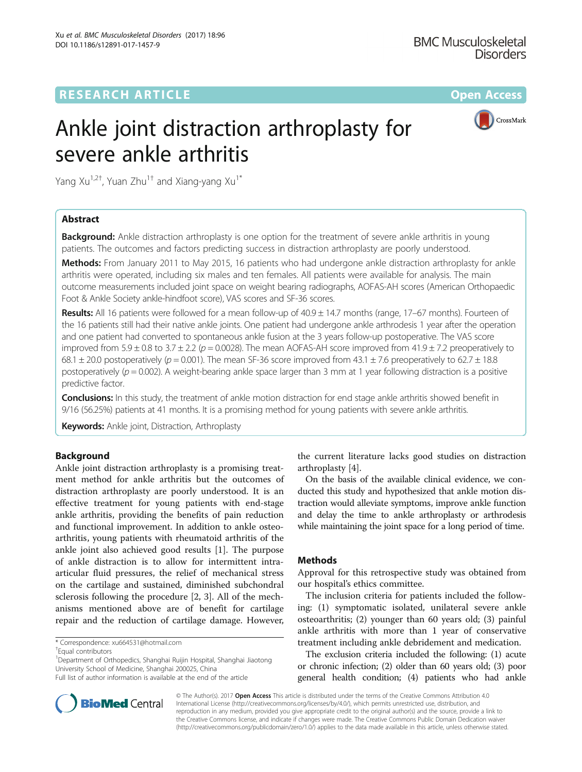**RESEARCH ARTICLE Example 2014 12:30 The Contract of Contract ACCESS** 

# CrossMark

# Ankle joint distraction arthroplasty for severe ankle arthritis

Yang Xu<sup>1,2†</sup>, Yuan Zhu<sup>1†</sup> and Xiang-yang Xu<sup>1\*</sup>

# Abstract

**Background:** Ankle distraction arthroplasty is one option for the treatment of severe ankle arthritis in young patients. The outcomes and factors predicting success in distraction arthroplasty are poorly understood.

Methods: From January 2011 to May 2015, 16 patients who had undergone ankle distraction arthroplasty for ankle arthritis were operated, including six males and ten females. All patients were available for analysis. The main outcome measurements included joint space on weight bearing radiographs, AOFAS-AH scores (American Orthopaedic Foot & Ankle Society ankle-hindfoot score), VAS scores and SF-36 scores.

Results: All 16 patients were followed for a mean follow-up of  $40.9 \pm 14.7$  months (range, 17–67 months). Fourteen of the 16 patients still had their native ankle joints. One patient had undergone ankle arthrodesis 1 year after the operation and one patient had converted to spontaneous ankle fusion at the 3 years follow-up postoperative. The VAS score improved from  $5.9 \pm 0.8$  to  $3.7 \pm 2.2$  (p = 0.0028). The mean AOFAS-AH score improved from  $41.9 \pm 7.2$  preoperatively to 68.1  $\pm$  20.0 postoperatively (p = 0.001). The mean SF-36 score improved from 43.1  $\pm$  7.6 preoperatively to 62.7  $\pm$  18.8 postoperatively ( $p = 0.002$ ). A weight-bearing ankle space larger than 3 mm at 1 year following distraction is a positive predictive factor.

Conclusions: In this study, the treatment of ankle motion distraction for end stage ankle arthritis showed benefit in 9/16 (56.25%) patients at 41 months. It is a promising method for young patients with severe ankle arthritis.

**Keywords:** Ankle joint, Distraction, Arthroplasty

# Background

Ankle joint distraction arthroplasty is a promising treatment method for ankle arthritis but the outcomes of distraction arthroplasty are poorly understood. It is an effective treatment for young patients with end-stage ankle arthritis, providing the benefits of pain reduction and functional improvement. In addition to ankle osteoarthritis, young patients with rheumatoid arthritis of the ankle joint also achieved good results [\[1](#page-5-0)]. The purpose of ankle distraction is to allow for intermittent intraarticular fluid pressures, the relief of mechanical stress on the cartilage and sustained, diminished subchondral sclerosis following the procedure [[2](#page-5-0), [3\]](#page-5-0). All of the mechanisms mentioned above are of benefit for cartilage repair and the reduction of cartilage damage. However,

\* Correspondence: [xu664531@hotmail.com](mailto:xu664531@hotmail.com) †

<sup>1</sup>Department of Orthopedics, Shanghai Ruijin Hospital, Shanghai Jiaotong University School of Medicine, Shanghai 200025, China



On the basis of the available clinical evidence, we conducted this study and hypothesized that ankle motion distraction would alleviate symptoms, improve ankle function and delay the time to ankle arthroplasty or arthrodesis while maintaining the joint space for a long period of time.

# Methods

Approval for this retrospective study was obtained from our hospital's ethics committee.

The inclusion criteria for patients included the following: (1) symptomatic isolated, unilateral severe ankle osteoarthritis; (2) younger than 60 years old; (3) painful ankle arthritis with more than 1 year of conservative treatment including ankle debridement and medication.

The exclusion criteria included the following: (1) acute or chronic infection; (2) older than 60 years old; (3) poor general health condition; (4) patients who had ankle



© The Author(s). 2017 **Open Access** This article is distributed under the terms of the Creative Commons Attribution 4.0 International License [\(http://creativecommons.org/licenses/by/4.0/](http://creativecommons.org/licenses/by/4.0/)), which permits unrestricted use, distribution, and reproduction in any medium, provided you give appropriate credit to the original author(s) and the source, provide a link to the Creative Commons license, and indicate if changes were made. The Creative Commons Public Domain Dedication waiver [\(http://creativecommons.org/publicdomain/zero/1.0/](http://creativecommons.org/publicdomain/zero/1.0/)) applies to the data made available in this article, unless otherwise stated.

Equal contributors

Full list of author information is available at the end of the article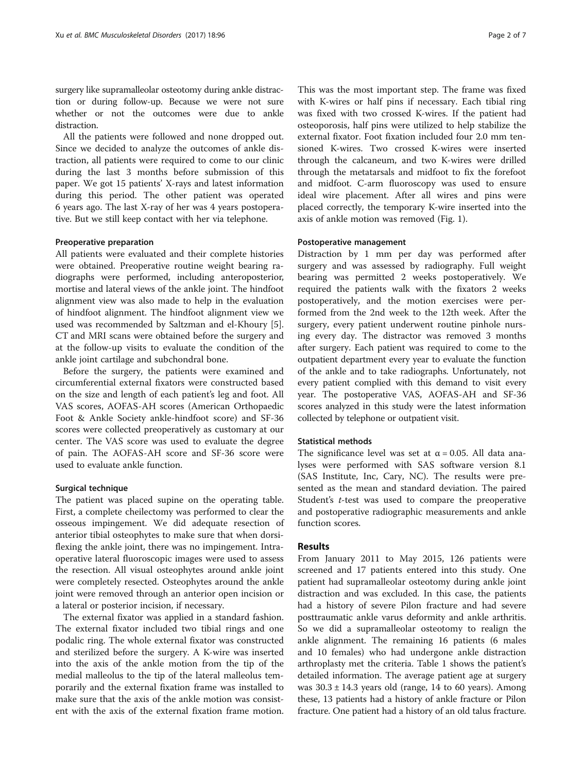surgery like supramalleolar osteotomy during ankle distraction or during follow-up. Because we were not sure whether or not the outcomes were due to ankle distraction.

All the patients were followed and none dropped out. Since we decided to analyze the outcomes of ankle distraction, all patients were required to come to our clinic during the last 3 months before submission of this paper. We got 15 patients' X-rays and latest information during this period. The other patient was operated 6 years ago. The last X-ray of her was 4 years postoperative. But we still keep contact with her via telephone.

## Preoperative preparation

All patients were evaluated and their complete histories were obtained. Preoperative routine weight bearing radiographs were performed, including anteroposterior, mortise and lateral views of the ankle joint. The hindfoot alignment view was also made to help in the evaluation of hindfoot alignment. The hindfoot alignment view we used was recommended by Saltzman and el-Khoury [\[5](#page-5-0)]. CT and MRI scans were obtained before the surgery and at the follow-up visits to evaluate the condition of the ankle joint cartilage and subchondral bone.

Before the surgery, the patients were examined and circumferential external fixators were constructed based on the size and length of each patient's leg and foot. All VAS scores, AOFAS-AH scores (American Orthopaedic Foot & Ankle Society ankle-hindfoot score) and SF-36 scores were collected preoperatively as customary at our center. The VAS score was used to evaluate the degree of pain. The AOFAS-AH score and SF-36 score were used to evaluate ankle function.

## Surgical technique

The patient was placed supine on the operating table. First, a complete cheilectomy was performed to clear the osseous impingement. We did adequate resection of anterior tibial osteophytes to make sure that when dorsiflexing the ankle joint, there was no impingement. Intraoperative lateral fluoroscopic images were used to assess the resection. All visual osteophytes around ankle joint were completely resected. Osteophytes around the ankle joint were removed through an anterior open incision or a lateral or posterior incision, if necessary.

The external fixator was applied in a standard fashion. The external fixator included two tibial rings and one podalic ring. The whole external fixator was constructed and sterilized before the surgery. A K-wire was inserted into the axis of the ankle motion from the tip of the medial malleolus to the tip of the lateral malleolus temporarily and the external fixation frame was installed to make sure that the axis of the ankle motion was consistent with the axis of the external fixation frame motion.

This was the most important step. The frame was fixed with K-wires or half pins if necessary. Each tibial ring was fixed with two crossed K-wires. If the patient had osteoporosis, half pins were utilized to help stabilize the external fixator. Foot fixation included four 2.0 mm tensioned K-wires. Two crossed K-wires were inserted through the calcaneum, and two K-wires were drilled through the metatarsals and midfoot to fix the forefoot and midfoot. C-arm fluoroscopy was used to ensure ideal wire placement. After all wires and pins were placed correctly, the temporary K-wire inserted into the axis of ankle motion was removed (Fig. [1](#page-2-0)).

## Postoperative management

Distraction by 1 mm per day was performed after surgery and was assessed by radiography. Full weight bearing was permitted 2 weeks postoperatively. We required the patients walk with the fixators 2 weeks postoperatively, and the motion exercises were performed from the 2nd week to the 12th week. After the surgery, every patient underwent routine pinhole nursing every day. The distractor was removed 3 months after surgery. Each patient was required to come to the outpatient department every year to evaluate the function of the ankle and to take radiographs. Unfortunately, not every patient complied with this demand to visit every year. The postoperative VAS, AOFAS-AH and SF-36 scores analyzed in this study were the latest information collected by telephone or outpatient visit.

# Statistical methods

The significance level was set at  $\alpha$  = 0.05. All data analyses were performed with SAS software version 8.1 (SAS Institute, Inc, Cary, NC). The results were presented as the mean and standard deviation. The paired Student's t-test was used to compare the preoperative and postoperative radiographic measurements and ankle function scores.

## Results

From January 2011 to May 2015, 126 patients were screened and 17 patients entered into this study. One patient had supramalleolar osteotomy during ankle joint distraction and was excluded. In this case, the patients had a history of severe Pilon fracture and had severe posttraumatic ankle varus deformity and ankle arthritis. So we did a supramalleolar osteotomy to realign the ankle alignment. The remaining 16 patients (6 males and 10 females) who had undergone ankle distraction arthroplasty met the criteria. Table [1](#page-2-0) shows the patient's detailed information. The average patient age at surgery was  $30.3 \pm 14.3$  years old (range, 14 to 60 years). Among these, 13 patients had a history of ankle fracture or Pilon fracture. One patient had a history of an old talus fracture.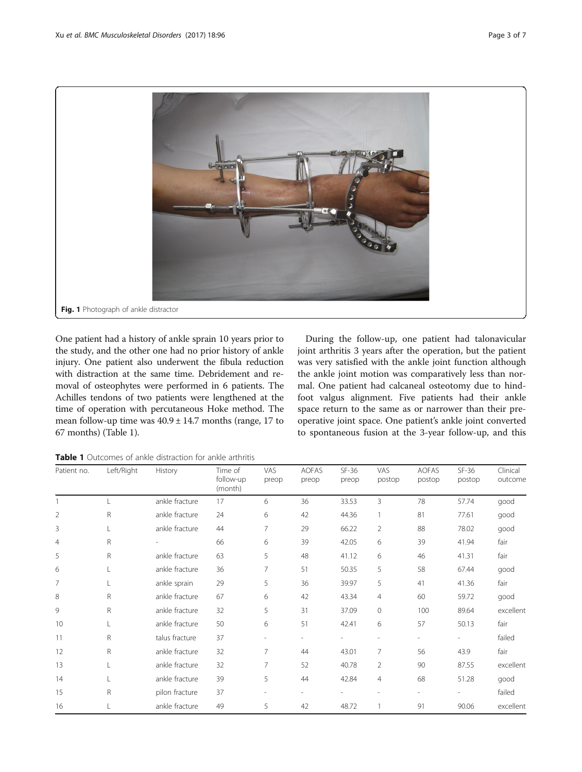<span id="page-2-0"></span>

One patient had a history of ankle sprain 10 years prior to the study, and the other one had no prior history of ankle injury. One patient also underwent the fibula reduction with distraction at the same time. Debridement and removal of osteophytes were performed in 6 patients. The Achilles tendons of two patients were lengthened at the time of operation with percutaneous Hoke method. The mean follow-up time was 40.9 ± 14.7 months (range, 17 to 67 months) (Table 1).

During the follow-up, one patient had talonavicular joint arthritis 3 years after the operation, but the patient was very satisfied with the ankle joint function although the ankle joint motion was comparatively less than normal. One patient had calcaneal osteotomy due to hindfoot valgus alignment. Five patients had their ankle space return to the same as or narrower than their preoperative joint space. One patient's ankle joint converted to spontaneous fusion at the 3-year follow-up, and this

Table 1 Outcomes of ankle distraction for ankle arthritis

| Patient no.    | Left/Right   | History        | Time of<br>follow-up<br>(month) | VAS<br>preop | <b>AOFAS</b><br>preop | $SF-36$<br>preop         | VAS<br>postop            | AOFAS<br>postop          | $SF-36$<br>postop | Clinical<br>outcome |
|----------------|--------------|----------------|---------------------------------|--------------|-----------------------|--------------------------|--------------------------|--------------------------|-------------------|---------------------|
|                |              | ankle fracture | 17                              | 6            | 36                    | 33.53                    | 3                        | 78                       | 57.74             | good                |
| $\overline{2}$ | R            | ankle fracture | 24                              | 6            | 42                    | 44.36                    | $\mathbf{1}$             | 81                       | 77.61             | good                |
| 3              |              | ankle fracture | 44                              | 7            | 29                    | 66.22                    | $\overline{2}$           | 88                       | 78.02             | good                |
| $\overline{4}$ | R            |                | 66                              | 6            | 39                    | 42.05                    | 6                        | 39                       | 41.94             | fair                |
| 5              | $\mathsf{R}$ | ankle fracture | 63                              | 5            | 48                    | 41.12                    | 6                        | 46                       | 41.31             | fair                |
| 6              |              | ankle fracture | 36                              | 7            | 51                    | 50.35                    | 5                        | 58                       | 67.44             | good                |
| 7              |              | ankle sprain   | 29                              | 5            | 36                    | 39.97                    | 5                        | 41                       | 41.36             | fair                |
| 8              | R            | ankle fracture | 67                              | 6            | 42                    | 43.34                    | $\overline{4}$           | 60                       | 59.72             | good                |
| 9              | $\mathsf R$  | ankle fracture | 32                              | 5            | 31                    | 37.09                    | $\circ$                  | 100                      | 89.64             | excellent           |
| 10             |              | ankle fracture | 50                              | 6            | 51                    | 42.41                    | 6                        | 57                       | 50.13             | fair                |
| 11             | R            | talus fracture | 37                              |              |                       |                          |                          |                          |                   | failed              |
| 12             | $\mathsf R$  | ankle fracture | 32                              | 7            | 44                    | 43.01                    | $\overline{7}$           | 56                       | 43.9              | fair                |
| 13             | L            | ankle fracture | 32                              | 7            | 52                    | 40.78                    | $\overline{2}$           | 90                       | 87.55             | excellent           |
| 14             |              | ankle fracture | 39                              | 5            | 44                    | 42.84                    | $\overline{4}$           | 68                       | 51.28             | good                |
| 15             | R            | pilon fracture | 37                              |              | $\sim$                | $\overline{\phantom{a}}$ | $\overline{\phantom{a}}$ | $\overline{\phantom{0}}$ |                   | failed              |
| 16             |              | ankle fracture | 49                              | 5            | 42                    | 48.72                    |                          | 91                       | 90.06             | excellent           |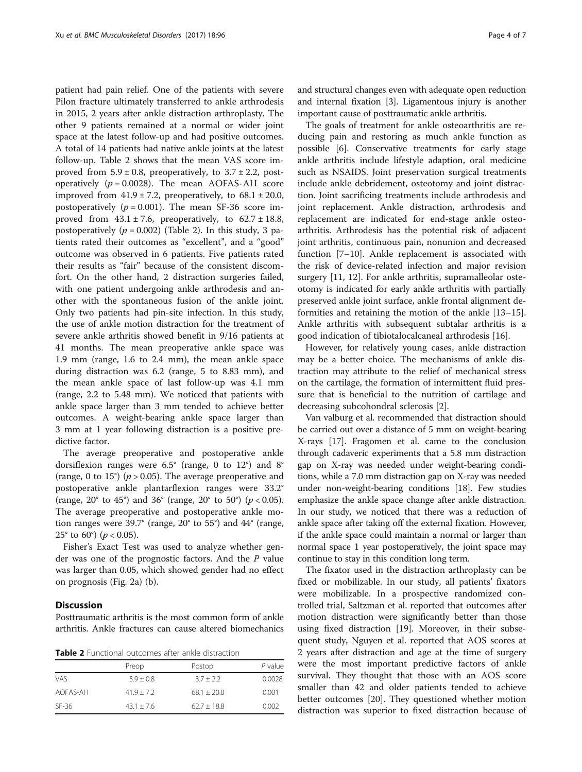patient had pain relief. One of the patients with severe Pilon fracture ultimately transferred to ankle arthrodesis in 2015, 2 years after ankle distraction arthroplasty. The other 9 patients remained at a normal or wider joint space at the latest follow-up and had positive outcomes. A total of 14 patients had native ankle joints at the latest follow-up. Table 2 shows that the mean VAS score improved from  $5.9 \pm 0.8$ , preoperatively, to  $3.7 \pm 2.2$ , postoperatively ( $p = 0.0028$ ). The mean AOFAS-AH score improved from  $41.9 \pm 7.2$ , preoperatively, to  $68.1 \pm 20.0$ , postoperatively ( $p = 0.001$ ). The mean SF-36 score improved from  $43.1 \pm 7.6$ , preoperatively, to  $62.7 \pm 18.8$ , postoperatively ( $p = 0.002$ ) (Table 2). In this study, 3 patients rated their outcomes as "excellent", and a "good" outcome was observed in 6 patients. Five patients rated their results as "fair" because of the consistent discomfort. On the other hand, 2 distraction surgeries failed, with one patient undergoing ankle arthrodesis and another with the spontaneous fusion of the ankle joint. Only two patients had pin-site infection. In this study, the use of ankle motion distraction for the treatment of severe ankle arthritis showed benefit in 9/16 patients at 41 months. The mean preoperative ankle space was 1.9 mm (range, 1.6 to 2.4 mm), the mean ankle space during distraction was 6.2 (range, 5 to 8.83 mm), and the mean ankle space of last follow-up was 4.1 mm (range, 2.2 to 5.48 mm). We noticed that patients with ankle space larger than 3 mm tended to achieve better outcomes. A weight-bearing ankle space larger than 3 mm at 1 year following distraction is a positive predictive factor.

The average preoperative and postoperative ankle dorsiflexion ranges were 6.5° (range, 0 to 12°) and 8° (range, 0 to 15°) ( $p > 0.05$ ). The average preoperative and postoperative ankle plantarflexion ranges were 33.2° (range, 20° to 45°) and 36° (range, 20° to 50°) ( $p < 0.05$ ). The average preoperative and postoperative ankle motion ranges were 39.7° (range, 20° to 55°) and 44° (range, 25 $^{\circ}$  to 60 $^{\circ}$ ) (*p* < 0.05).

Fisher's Exact Test was used to analyze whether gender was one of the prognostic factors. And the P value was larger than 0.05, which showed gender had no effect on prognosis (Fig. [2a](#page-4-0)) ([b\)](#page-4-0).

# **Discussion**

Posttraumatic arthritis is the most common form of ankle arthritis. Ankle fractures can cause altered biomechanics

Table 2 Functional outcomes after ankle distraction

|            | Preop          | Postop        | $P$ value |
|------------|----------------|---------------|-----------|
| <b>VAS</b> | $5.9 + 0.8$    | $3.7 + 2.2$   | 0.0028    |
| AOFAS-AH   | $41.9 + 7.2$   | $68.1 + 20.0$ | 0.001     |
| $SF-36$    | $43.1 \pm 7.6$ | $62.7 + 18.8$ | 0.002     |

and structural changes even with adequate open reduction and internal fixation [[3\]](#page-5-0). Ligamentous injury is another important cause of posttraumatic ankle arthritis.

The goals of treatment for ankle osteoarthritis are reducing pain and restoring as much ankle function as possible [[6\]](#page-5-0). Conservative treatments for early stage ankle arthritis include lifestyle adaption, oral medicine such as NSAIDS. Joint preservation surgical treatments include ankle debridement, osteotomy and joint distraction. Joint sacrificing treatments include arthrodesis and joint replacement. Ankle distraction, arthrodesis and replacement are indicated for end-stage ankle osteoarthritis. Arthrodesis has the potential risk of adjacent joint arthritis, continuous pain, nonunion and decreased function [\[7](#page-5-0)–[10\]](#page-5-0). Ankle replacement is associated with the risk of device-related infection and major revision surgery [\[11, 12](#page-5-0)]. For ankle arthritis, supramalleolar osteotomy is indicated for early ankle arthritis with partially preserved ankle joint surface, ankle frontal alignment deformities and retaining the motion of the ankle [[13](#page-5-0)–[15](#page-5-0)]. Ankle arthritis with subsequent subtalar arthritis is a good indication of tibiotalocalcaneal arthrodesis [\[16](#page-5-0)].

However, for relatively young cases, ankle distraction may be a better choice. The mechanisms of ankle distraction may attribute to the relief of mechanical stress on the cartilage, the formation of intermittent fluid pressure that is beneficial to the nutrition of cartilage and decreasing subcohondral sclerosis [\[2](#page-5-0)].

Van valburg et al. recommended that distraction should be carried out over a distance of 5 mm on weight-bearing X-rays [[17](#page-5-0)]. Fragomen et al. came to the conclusion through cadaveric experiments that a 5.8 mm distraction gap on X-ray was needed under weight-bearing conditions, while a 7.0 mm distraction gap on X-ray was needed under non-weight-bearing conditions [[18](#page-5-0)]. Few studies emphasize the ankle space change after ankle distraction. In our study, we noticed that there was a reduction of ankle space after taking off the external fixation. However, if the ankle space could maintain a normal or larger than normal space 1 year postoperatively, the joint space may continue to stay in this condition long term.

The fixator used in the distraction arthroplasty can be fixed or mobilizable. In our study, all patients' fixators were mobilizable. In a prospective randomized controlled trial, Saltzman et al. reported that outcomes after motion distraction were significantly better than those using fixed distraction [\[19](#page-5-0)]. Moreover, in their subsequent study, Nguyen et al. reported that AOS scores at 2 years after distraction and age at the time of surgery were the most important predictive factors of ankle survival. They thought that those with an AOS score smaller than 42 and older patients tended to achieve better outcomes [\[20](#page-6-0)]. They questioned whether motion distraction was superior to fixed distraction because of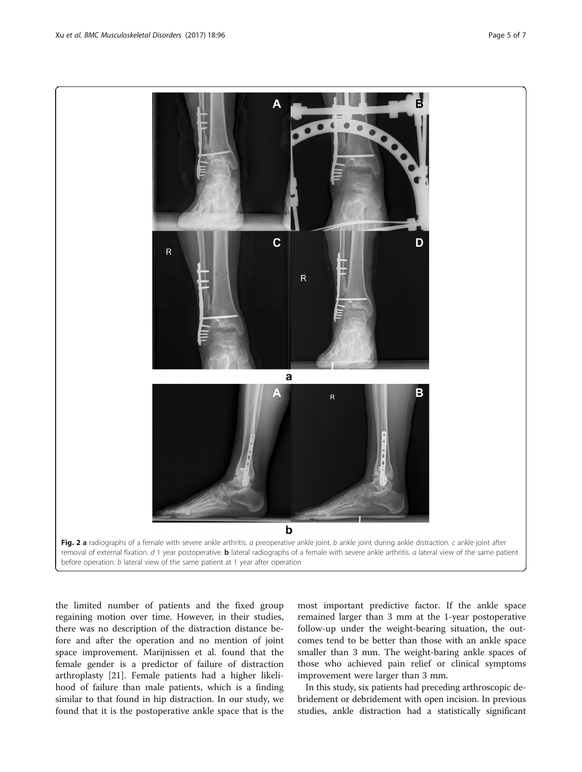<span id="page-4-0"></span>

the limited number of patients and the fixed group regaining motion over time. However, in their studies, there was no description of the distraction distance before and after the operation and no mention of joint space improvement. Marijnissen et al. found that the female gender is a predictor of failure of distraction arthroplasty [\[21\]](#page-6-0). Female patients had a higher likelihood of failure than male patients, which is a finding similar to that found in hip distraction. In our study, we found that it is the postoperative ankle space that is the

most important predictive factor. If the ankle space remained larger than 3 mm at the 1-year postoperative follow-up under the weight-bearing situation, the outcomes tend to be better than those with an ankle space smaller than 3 mm. The weight-baring ankle spaces of those who achieved pain relief or clinical symptoms improvement were larger than 3 mm.

In this study, six patients had preceding arthroscopic debridement or debridement with open incision. In previous studies, ankle distraction had a statistically significant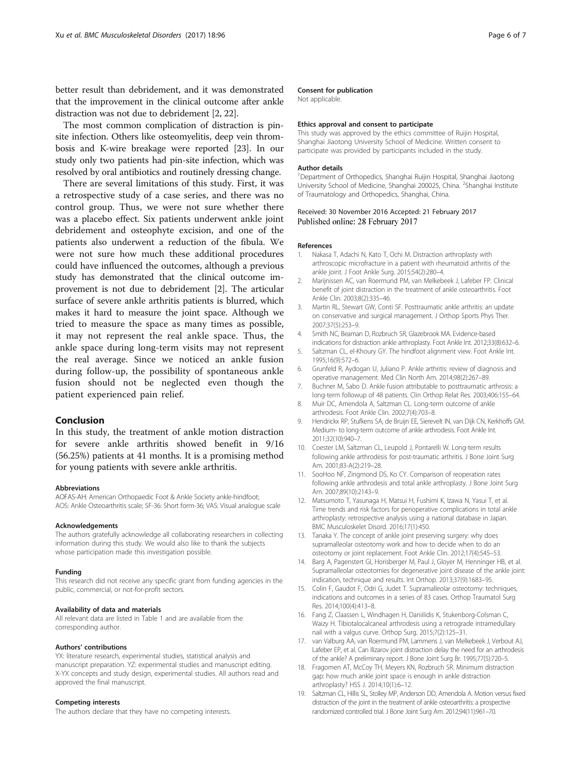<span id="page-5-0"></span>better result than debridement, and it was demonstrated that the improvement in the clinical outcome after ankle distraction was not due to debridement [2, [22](#page-6-0)].

The most common complication of distraction is pinsite infection. Others like osteomyelitis, deep vein thrombosis and K-wire breakage were reported [\[23\]](#page-6-0). In our study only two patients had pin-site infection, which was resolved by oral antibiotics and routinely dressing change.

There are several limitations of this study. First, it was a retrospective study of a case series, and there was no control group. Thus, we were not sure whether there was a placebo effect. Six patients underwent ankle joint debridement and osteophyte excision, and one of the patients also underwent a reduction of the fibula. We were not sure how much these additional procedures could have influenced the outcomes, although a previous study has demonstrated that the clinical outcome improvement is not due to debridement [2]. The articular surface of severe ankle arthritis patients is blurred, which makes it hard to measure the joint space. Although we tried to measure the space as many times as possible, it may not represent the real ankle space. Thus, the ankle space during long-term visits may not represent the real average. Since we noticed an ankle fusion during follow-up, the possibility of spontaneous ankle fusion should not be neglected even though the patient experienced pain relief.

# Conclusion

In this study, the treatment of ankle motion distraction for severe ankle arthritis showed benefit in 9/16 (56.25%) patients at 41 months. It is a promising method for young patients with severe ankle arthritis.

#### Abbreviations

AOFAS-AH: American Orthopaedic Foot & Ankle Society ankle-hindfoot; AOS: Ankle Osteoarthritis scale; SF-36: Short form-36; VAS: Visual analogue scale

#### Acknowledgements

The authors gratefully acknowledge all collaborating researchers in collecting information during this study. We would also like to thank the subjects whose participation made this investigation possible.

#### Funding

This research did not receive any specific grant from funding agencies in the public, commercial, or not-for-profit sectors.

#### Availability of data and materials

All relevant data are listed in Table [1](#page-2-0) and are available from the corresponding author.

#### Authors' contributions

YX: literature research, experimental studies, statistical analysis and manuscript preparation. YZ: experimental studies and manuscript editing. X-YX concepts and study design, experimental studies. All authors read and approved the final manuscript.

### Competing interests

The authors declare that they have no competing interests.

## Consent for publication

Not applicable.

### Ethics approval and consent to participate

This study was approved by the ethics committee of Ruijin Hospital, Shanghai Jiaotong University School of Medicine. Written consent to participate was provided by participants included in the study.

#### Author details

<sup>1</sup>Department of Orthopedics, Shanghai Ruijin Hospital, Shanghai Jiaotong University School of Medicine, Shanghai 200025, China. <sup>2</sup>Shanghai Institute of Traumatology and Orthopedics, Shanghai, China.

## Received: 30 November 2016 Accepted: 21 February 2017 Published online: 28 February 2017

#### References

- 1. Nakasa T, Adachi N, Kato T, Ochi M. Distraction arthroplasty with arthroscopic microfracture in a patient with rheumatoid arthritis of the ankle joint. J Foot Ankle Surg. 2015;54(2):280–4.
- 2. Marijnissen AC, van Roermund PM, van Melkebeek J, Lafeber FP. Clinical benefit of joint distraction in the treatment of ankle osteoarthritis. Foot Ankle Clin. 2003;8(2):335–46.
- 3. Martin RL, Stewart GW, Conti SF. Posttraumatic ankle arthritis: an update on conservative and surgical management. J Orthop Sports Phys Ther. 2007;37(5):253–9.
- Smith NC, Beaman D, Rozbruch SR, Glazebrook MA. Evidence-based indications for distraction ankle arthroplasty. Foot Ankle Int. 2012;33(8):632–6.
- 5. Saltzman CL, el-Khoury GY. The hindfoot alignment view. Foot Ankle Int. 1995;16(9):572–6.
- 6. Grunfeld R, Aydogan U, Juliano P. Ankle arthritis: review of diagnosis and operative management. Med Clin North Am. 2014;98(2):267–89.
- 7. Buchner M, Sabo D. Ankle fusion attributable to posttraumatic arthrosis: a long-term followup of 48 patients. Clin Orthop Relat Res. 2003;406:155–64.
- 8. Muir DC, Amendola A, Saltzman CL. Long-term outcome of ankle arthrodesis. Foot Ankle Clin. 2002;7(4):703–8.
- 9. Hendrickx RP, Stufkens SA, de Bruijn EE, Sierevelt IN, van Dijk CN, Kerkhoffs GM. Medium- to long-term outcome of ankle arthrodesis. Foot Ankle Int. 2011;32(10):940–7.
- 10. Coester LM, Saltzman CL, Leupold J, Pontarelli W. Long-term results following ankle arthrodesis for post-traumatic arthritis. J Bone Joint Surg Am. 2001;83-A(2):219–28.
- 11. SooHoo NF, Zingmond DS, Ko CY. Comparison of reoperation rates following ankle arthrodesis and total ankle arthroplasty. J Bone Joint Surg Am. 2007;89(10):2143–9.
- 12. Matsumoto T, Yasunaga H, Matsui H, Fushimi K, Izawa N, Yasui T, et al. Time trends and risk factors for perioperative complications in total ankle arthroplasty: retrospective analysis using a national database in Japan. BMC Musculoskelet Disord. 2016;17(1):450.
- 13. Tanaka Y. The concept of ankle joint preserving surgery: why does supramalleolar osteotomy work and how to decide when to do an osteotomy or joint replacement. Foot Ankle Clin. 2012;17(4):545–53.
- 14. Barg A, Pagenstert GI, Horisberger M, Paul J, Gloyer M, Henninger HB, et al. Supramalleolar osteotomies for degenerative joint disease of the ankle joint: indication, technique and results. Int Orthop. 2013;37(9):1683–95.
- 15. Colin F, Gaudot F, Odri G, Judet T. Supramalleolar osteotomy: techniques, indications and outcomes in a series of 83 cases. Orthop Traumatol Surg Res. 2014;100(4):413–8.
- 16. Fang Z, Claassen L, Windhagen H, Daniilidis K, Stukenborg-Colsman C, Waizy H. Tibiotalocalcaneal arthrodesis using a retrograde intramedullary nail with a valgus curve. Orthop Surg. 2015;7(2):125–31.
- 17. van Valburg AA, van Roermund PM, Lammens J, van Melkebeek J, Verbout AJ, Lafeber EP, et al. Can Ilizarov joint distraction delay the need for an arthrodesis of the ankle? A preliminary report. J Bone Joint Surg Br. 1995;77(5):720–5.
- 18. Fragomen AT, McCoy TH, Meyers KN, Rozbruch SR. Minimum distraction gap: how much ankle joint space is enough in ankle distraction arthroplasty? HSS J. 2014;10(1):6–12.
- 19. Saltzman CL, Hillis SL, Stolley MP, Anderson DD, Amendola A. Motion versus fixed distraction of the joint in the treatment of ankle osteoarthritis: a prospective randomized controlled trial. J Bone Joint Surg Am. 2012;94(11):961–70.